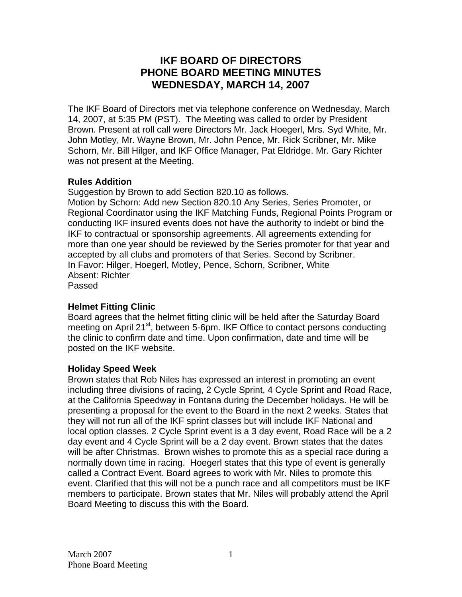# **IKF BOARD OF DIRECTORS PHONE BOARD MEETING MINUTES WEDNESDAY, MARCH 14, 2007**

The IKF Board of Directors met via telephone conference on Wednesday, March 14, 2007, at 5:35 PM (PST). The Meeting was called to order by President Brown. Present at roll call were Directors Mr. Jack Hoegerl, Mrs. Syd White, Mr. John Motley, Mr. Wayne Brown, Mr. John Pence, Mr. Rick Scribner, Mr. Mike Schorn, Mr. Bill Hilger, and IKF Office Manager, Pat Eldridge. Mr. Gary Richter was not present at the Meeting.

### **Rules Addition**

Suggestion by Brown to add Section 820.10 as follows.

Motion by Schorn: Add new Section 820.10 Any Series, Series Promoter, or Regional Coordinator using the IKF Matching Funds, Regional Points Program or conducting IKF insured events does not have the authority to indebt or bind the IKF to contractual or sponsorship agreements. All agreements extending for more than one year should be reviewed by the Series promoter for that year and accepted by all clubs and promoters of that Series. Second by Scribner. In Favor: Hilger, Hoegerl, Motley, Pence, Schorn, Scribner, White Absent: Richter Passed

## **Helmet Fitting Clinic**

Board agrees that the helmet fitting clinic will be held after the Saturday Board meeting on April 21<sup>st</sup>, between 5-6pm. IKF Office to contact persons conducting the clinic to confirm date and time. Upon confirmation, date and time will be posted on the IKF website.

## **Holiday Speed Week**

Brown states that Rob Niles has expressed an interest in promoting an event including three divisions of racing, 2 Cycle Sprint, 4 Cycle Sprint and Road Race, at the California Speedway in Fontana during the December holidays. He will be presenting a proposal for the event to the Board in the next 2 weeks. States that they will not run all of the IKF sprint classes but will include IKF National and local option classes. 2 Cycle Sprint event is a 3 day event, Road Race will be a 2 day event and 4 Cycle Sprint will be a 2 day event. Brown states that the dates will be after Christmas. Brown wishes to promote this as a special race during a normally down time in racing. Hoegerl states that this type of event is generally called a Contract Event. Board agrees to work with Mr. Niles to promote this event. Clarified that this will not be a punch race and all competitors must be IKF members to participate. Brown states that Mr. Niles will probably attend the April Board Meeting to discuss this with the Board.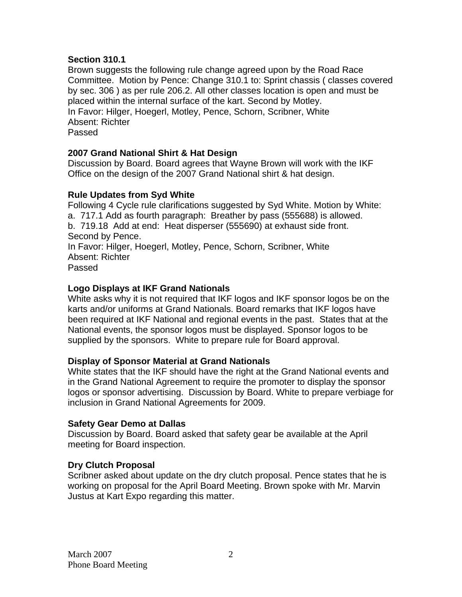#### **Section 310.1**

Brown suggests the following rule change agreed upon by the Road Race Committee. Motion by Pence: Change 310.1 to: Sprint chassis ( classes covered by sec. 306 ) as per rule 206.2. All other classes location is open and must be placed within the internal surface of the kart. Second by Motley. In Favor: Hilger, Hoegerl, Motley, Pence, Schorn, Scribner, White Absent: Richter Passed

### **2007 Grand National Shirt & Hat Design**

Discussion by Board. Board agrees that Wayne Brown will work with the IKF Office on the design of the 2007 Grand National shirt & hat design.

### **Rule Updates from Syd White**

Following 4 Cycle rule clarifications suggested by Syd White. Motion by White: a. 717.1 Add as fourth paragraph: Breather by pass (555688) is allowed. b. 719.18 Add at end: Heat disperser (555690) at exhaust side front. Second by Pence. In Favor: Hilger, Hoegerl, Motley, Pence, Schorn, Scribner, White Absent: Richter

Passed

### **Logo Displays at IKF Grand Nationals**

White asks why it is not required that IKF logos and IKF sponsor logos be on the karts and/or uniforms at Grand Nationals. Board remarks that IKF logos have been required at IKF National and regional events in the past. States that at the National events, the sponsor logos must be displayed. Sponsor logos to be supplied by the sponsors. White to prepare rule for Board approval.

### **Display of Sponsor Material at Grand Nationals**

White states that the IKF should have the right at the Grand National events and in the Grand National Agreement to require the promoter to display the sponsor logos or sponsor advertising. Discussion by Board. White to prepare verbiage for inclusion in Grand National Agreements for 2009.

#### **Safety Gear Demo at Dallas**

Discussion by Board. Board asked that safety gear be available at the April meeting for Board inspection.

### **Dry Clutch Proposal**

Scribner asked about update on the dry clutch proposal. Pence states that he is working on proposal for the April Board Meeting. Brown spoke with Mr. Marvin Justus at Kart Expo regarding this matter.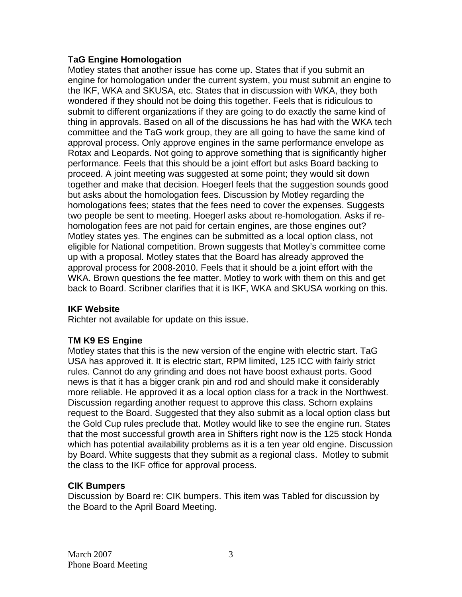### **TaG Engine Homologation**

Motley states that another issue has come up. States that if you submit an engine for homologation under the current system, you must submit an engine to the IKF, WKA and SKUSA, etc. States that in discussion with WKA, they both wondered if they should not be doing this together. Feels that is ridiculous to submit to different organizations if they are going to do exactly the same kind of thing in approvals. Based on all of the discussions he has had with the WKA tech committee and the TaG work group, they are all going to have the same kind of approval process. Only approve engines in the same performance envelope as Rotax and Leopards. Not going to approve something that is significantly higher performance. Feels that this should be a joint effort but asks Board backing to proceed. A joint meeting was suggested at some point; they would sit down together and make that decision. Hoegerl feels that the suggestion sounds good but asks about the homologation fees. Discussion by Motley regarding the homologations fees; states that the fees need to cover the expenses. Suggests two people be sent to meeting. Hoegerl asks about re-homologation. Asks if rehomologation fees are not paid for certain engines, are those engines out? Motley states yes. The engines can be submitted as a local option class, not eligible for National competition. Brown suggests that Motley's committee come up with a proposal. Motley states that the Board has already approved the approval process for 2008-2010. Feels that it should be a joint effort with the WKA. Brown questions the fee matter. Motley to work with them on this and get back to Board. Scribner clarifies that it is IKF, WKA and SKUSA working on this.

## **IKF Website**

Richter not available for update on this issue.

### **TM K9 ES Engine**

Motley states that this is the new version of the engine with electric start. TaG USA has approved it. It is electric start, RPM limited, 125 ICC with fairly strict rules. Cannot do any grinding and does not have boost exhaust ports. Good news is that it has a bigger crank pin and rod and should make it considerably more reliable. He approved it as a local option class for a track in the Northwest. Discussion regarding another request to approve this class. Schorn explains request to the Board. Suggested that they also submit as a local option class but the Gold Cup rules preclude that. Motley would like to see the engine run. States that the most successful growth area in Shifters right now is the 125 stock Honda which has potential availability problems as it is a ten year old engine. Discussion by Board. White suggests that they submit as a regional class. Motley to submit the class to the IKF office for approval process.

### **CIK Bumpers**

Discussion by Board re: CIK bumpers. This item was Tabled for discussion by the Board to the April Board Meeting.